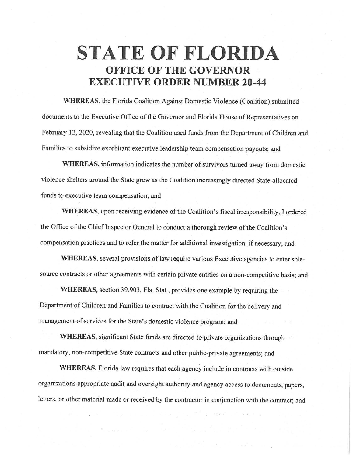## **STATE OF FLORIDA OFFICE OF THE GOVERNOR EXECUTIVE ORDER NUMBER 20-44**

**WHEREAS,** the Florida Coalition Against Domestic Violence (Coalition) submitted documents to the Executive Office of the Governor and Florida House of Representatives on February 12, 2020, revealing that the Coalition used funds from the Department of Children and Families to subsidize exorbitant executive leadership team compensation payouts; and

**WHEREAS,** information indicates the number of survivors turned away. from domestic violence shelters around the State grew as the Coalition increasingly directed State-a11ocated funds to executive team compensation; and

**WHEREAS,** upon receiving evidence of the Coalition's fiscal irresponsibility, I ordered the Office of the Chief Inspector General to conduct a thorough review of the Coalition's compensation practices and to refer the matter for additional investigation, if necessary; and

WHEREAS, several provisions of law require various Executive agencies to enter solesource contracts or other agreements with certain private entities on a non-competitive basis; and

**WHEREAS,** section 39.903, Fla. Stat., provides one example by requiring the Department of Children and Families to contract with the Coalition for the delivery and management-of services for the State's domestic violence program; and

**WHEREAS,** significant State funds are directed to private organizations through mandatory, non-competitive State contracts and other public-private agreements; and

**WHEREAS,** Florida law requires that each agency include in contracts with outside organizations appropriate audit and oversight authority and agency access to documents, papers, letters, or other material made or received by the contractor in conjunction with the contract; and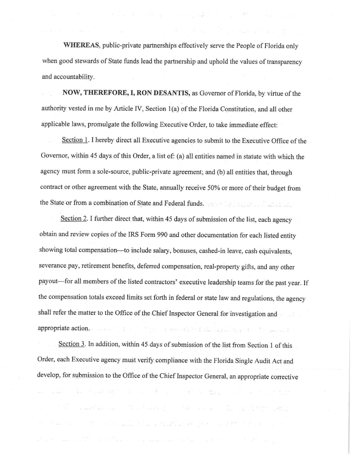**WHEREAS,** public-private partnerships effectively serve the People of Florida only when good stewards of State funds lead the partnership and uphold the values of transparency and accountability.

a medicing together manifest and distance

**NOW, THEREFORE, I, RON DESANTIS,** as Governor of Florida, by virtue of the authority vested in me by Article IV, Section 1(a) of the Florida Constitution, and all other applicable laws, promulgate the following Executive Order, to take immediate effect:

Section 1. I hereby direct all Executive agencies to submit to the Executive Office of the Governor, within 45 days of this Order, a list of: (a) all entities named in statute with which the agency must form a sole-source, public-private agreement; and (b) all entities that, through contract or other agreement with the State, annually receive 50% or more of their budget from the State or from a combination of State and Federal funds.

Section 2. I further direct that, within 45 days of submission of the list, each agency obtain and review copies of the IRS Form 990 and other documentation for each listed entity showing total compensation--to include salary, bonuses, cashed-in leave, cash equivalents, severance pay, retirement benefits, deferred compensation, real-property gifts, and any other payout—for all members of the listed contractors' executive leadership teams for the past year. If the compensation totals exceed limits set forth in federal or state law and regulations, the agency shall refer the matter to the Office of the Chief Inspector General for investigation and appropriate action. The second of the second state of the second state of the second

Section 3. In addition, within 45 days of submission of the list from Section 1 of this. Order, each Executive agency must verify compliance with the Florida Single Audit Act and develop, for submission to the Office of the Chief Inspector General, an appropriate corrective

 $\forall i \in \mathcal{S} \text{ and } \exists x_i \in \mathbb{N}: \forall y_i \in \mathbb{N} \text{ and } \exists x_i \in \mathcal{S} \text{ and } \exists x_i \in \mathcal{S} \text{ and } \exists x_i \in \mathcal{S} \text{ and } \forall x_i \in \mathcal{S} \text{ and } \forall x_i \in \mathcal{S} \text{ and } \exists x_i \in \mathcal{S} \text{ and } \exists x_i \in \mathcal{S} \text{ and } \exists x_i \in \mathcal{S} \text{ and } \exists x_i \in \mathcal{S} \text{ and } \exists x_i \in \mathcal{S} \text{ and } \exists x_i \$ 

.<br>Ipel amingkan indi kala kaan as ting kalili (ala

and the second state of the second state of the second state of the second state of the second